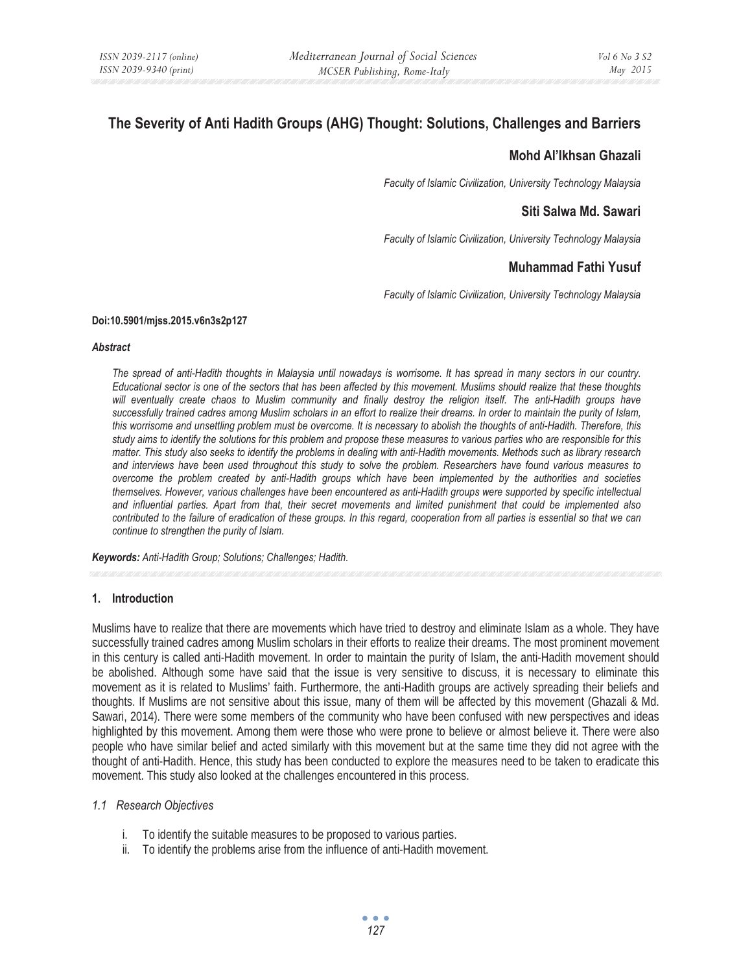# **The Severity of Anti Hadith Groups (AHG) Thought: Solutions, Challenges and Barriers**

# **Mohd Al'Ikhsan Ghazali**

*Faculty of Islamic Civilization, University Technology Malaysia* 

# **Siti Salwa Md. Sawari**

*Faculty of Islamic Civilization, University Technology Malaysia* 

# **Muhammad Fathi Yusuf**

*Faculty of Islamic Civilization, University Technology Malaysia* 

#### **Doi:10.5901/mjss.2015.v6n3s2p127**

#### *Abstract*

*The spread of anti-Hadith thoughts in Malaysia until nowadays is worrisome. It has spread in many sectors in our country. Educational sector is one of the sectors that has been affected by this movement. Muslims should realize that these thoughts*  will eventually create chaos to Muslim community and finally destroy the religion itself. The anti-Hadith groups have *successfully trained cadres among Muslim scholars in an effort to realize their dreams. In order to maintain the purity of Islam, this worrisome and unsettling problem must be overcome. It is necessary to abolish the thoughts of anti-Hadith. Therefore, this study aims to identify the solutions for this problem and propose these measures to various parties who are responsible for this matter. This study also seeks to identify the problems in dealing with anti-Hadith movements. Methods such as library research and interviews have been used throughout this study to solve the problem. Researchers have found various measures to overcome the problem created by anti-Hadith groups which have been implemented by the authorities and societies themselves. However, various challenges have been encountered as anti-Hadith groups were supported by specific intellectual and influential parties. Apart from that, their secret movements and limited punishment that could be implemented also contributed to the failure of eradication of these groups. In this regard, cooperation from all parties is essential so that we can continue to strengthen the purity of Islam.* 

*Keywords: Anti-Hadith Group; Solutions; Challenges; Hadith.*

### **1. Introduction**

Muslims have to realize that there are movements which have tried to destroy and eliminate Islam as a whole. They have successfully trained cadres among Muslim scholars in their efforts to realize their dreams. The most prominent movement in this century is called anti-Hadith movement. In order to maintain the purity of Islam, the anti-Hadith movement should be abolished. Although some have said that the issue is very sensitive to discuss, it is necessary to eliminate this movement as it is related to Muslims' faith. Furthermore, the anti-Hadith groups are actively spreading their beliefs and thoughts. If Muslims are not sensitive about this issue, many of them will be affected by this movement (Ghazali & Md. Sawari, 2014). There were some members of the community who have been confused with new perspectives and ideas highlighted by this movement. Among them were those who were prone to believe or almost believe it. There were also people who have similar belief and acted similarly with this movement but at the same time they did not agree with the thought of anti-Hadith. Hence, this study has been conducted to explore the measures need to be taken to eradicate this movement. This study also looked at the challenges encountered in this process.

### *1.1 Research Objectives*

- i. To identify the suitable measures to be proposed to various parties.
- ii. To identify the problems arise from the influence of anti-Hadith movement.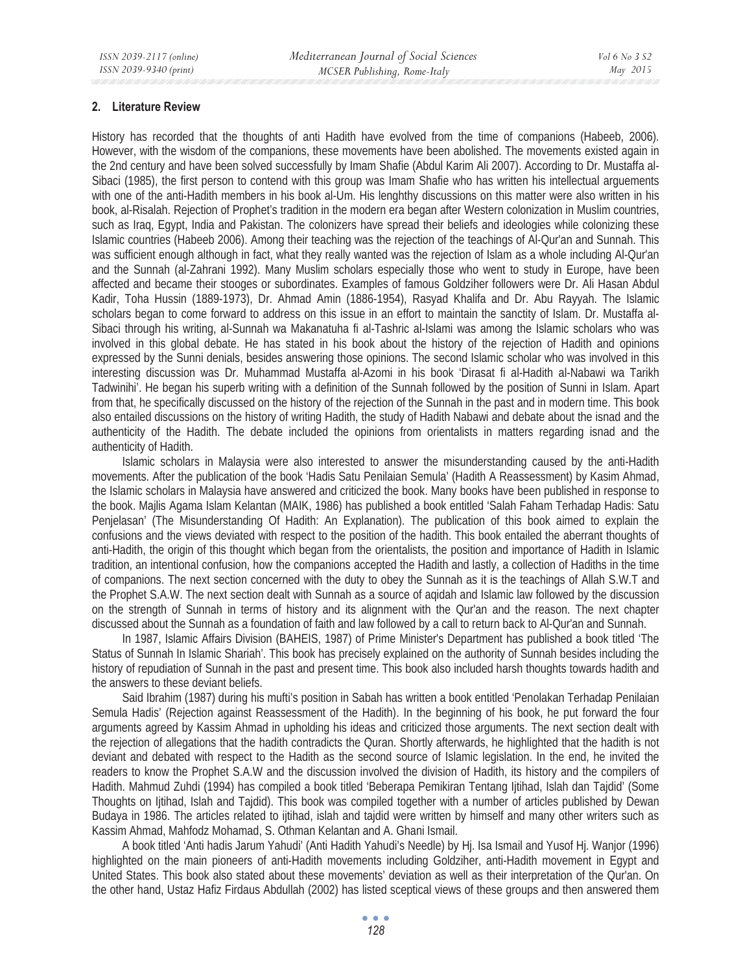### **2. Literature Review**

History has recorded that the thoughts of anti Hadith have evolved from the time of companions (Habeeb, 2006). However, with the wisdom of the companions, these movements have been abolished. The movements existed again in the 2nd century and have been solved successfully by Imam Shafie (Abdul Karim Ali 2007). According to Dr. Mustaffa al-Sibaci (1985), the first person to contend with this group was Imam Shafie who has written his intellectual arguements with one of the anti-Hadith members in his book al-Um. His lenghthy discussions on this matter were also written in his book, al-Risalah. Rejection of Prophet's tradition in the modern era began after Western colonization in Muslim countries, such as Iraq, Egypt, India and Pakistan. The colonizers have spread their beliefs and ideologies while colonizing these Islamic countries (Habeeb 2006). Among their teaching was the rejection of the teachings of Al-Qur'an and Sunnah. This was sufficient enough although in fact, what they really wanted was the rejection of Islam as a whole including Al-Qur'an and the Sunnah (al-Zahrani 1992). Many Muslim scholars especially those who went to study in Europe, have been affected and became their stooges or subordinates. Examples of famous Goldziher followers were Dr. Ali Hasan Abdul Kadir, Toha Hussin (1889-1973), Dr. Ahmad Amin (1886-1954), Rasyad Khalifa and Dr. Abu Rayyah. The Islamic scholars began to come forward to address on this issue in an effort to maintain the sanctity of Islam. Dr. Mustaffa al-Sibaci through his writing, al-Sunnah wa Makanatuha fi al-Tashric al-Islami was among the Islamic scholars who was involved in this global debate. He has stated in his book about the history of the rejection of Hadith and opinions expressed by the Sunni denials, besides answering those opinions. The second Islamic scholar who was involved in this interesting discussion was Dr. Muhammad Mustaffa al-Azomi in his book 'Dirasat fi al-Hadith al-Nabawi wa Tarikh Tadwinihi'. He began his superb writing with a definition of the Sunnah followed by the position of Sunni in Islam. Apart from that, he specifically discussed on the history of the rejection of the Sunnah in the past and in modern time. This book also entailed discussions on the history of writing Hadith, the study of Hadith Nabawi and debate about the isnad and the authenticity of the Hadith. The debate included the opinions from orientalists in matters regarding isnad and the authenticity of Hadith.

Islamic scholars in Malaysia were also interested to answer the misunderstanding caused by the anti-Hadith movements. After the publication of the book 'Hadis Satu Penilaian Semula' (Hadith A Reassessment) by Kasim Ahmad, the Islamic scholars in Malaysia have answered and criticized the book. Many books have been published in response to the book. Majlis Agama Islam Kelantan (MAIK, 1986) has published a book entitled 'Salah Faham Terhadap Hadis: Satu Penjelasan' (The Misunderstanding Of Hadith: An Explanation). The publication of this book aimed to explain the confusions and the views deviated with respect to the position of the hadith. This book entailed the aberrant thoughts of anti-Hadith, the origin of this thought which began from the orientalists, the position and importance of Hadith in Islamic tradition, an intentional confusion, how the companions accepted the Hadith and lastly, a collection of Hadiths in the time of companions. The next section concerned with the duty to obey the Sunnah as it is the teachings of Allah S.W.T and the Prophet S.A.W. The next section dealt with Sunnah as a source of aqidah and Islamic law followed by the discussion on the strength of Sunnah in terms of history and its alignment with the Qur'an and the reason. The next chapter discussed about the Sunnah as a foundation of faith and law followed by a call to return back to Al-Qur'an and Sunnah.

In 1987, Islamic Affairs Division (BAHEIS, 1987) of Prime Minister's Department has published a book titled 'The Status of Sunnah In Islamic Shariah'. This book has precisely explained on the authority of Sunnah besides including the history of repudiation of Sunnah in the past and present time. This book also included harsh thoughts towards hadith and the answers to these deviant beliefs.

Said Ibrahim (1987) during his mufti's position in Sabah has written a book entitled 'Penolakan Terhadap Penilaian Semula Hadis' (Rejection against Reassessment of the Hadith). In the beginning of his book, he put forward the four arguments agreed by Kassim Ahmad in upholding his ideas and criticized those arguments. The next section dealt with the rejection of allegations that the hadith contradicts the Quran. Shortly afterwards, he highlighted that the hadith is not deviant and debated with respect to the Hadith as the second source of Islamic legislation. In the end, he invited the readers to know the Prophet S.A.W and the discussion involved the division of Hadith, its history and the compilers of Hadith. Mahmud Zuhdi (1994) has compiled a book titled 'Beberapa Pemikiran Tentang Ijtihad, Islah dan Tajdid' (Some Thoughts on Ijtihad, Islah and Tajdid). This book was compiled together with a number of articles published by Dewan Budaya in 1986. The articles related to ijtihad, islah and tajdid were written by himself and many other writers such as Kassim Ahmad, Mahfodz Mohamad, S. Othman Kelantan and A. Ghani Ismail.

A book titled 'Anti hadis Jarum Yahudi' (Anti Hadith Yahudi's Needle) by Hj. Isa Ismail and Yusof Hj. Wanjor (1996) highlighted on the main pioneers of anti-Hadith movements including Goldziher, anti-Hadith movement in Egypt and United States. This book also stated about these movements' deviation as well as their interpretation of the Qur'an. On the other hand, Ustaz Hafiz Firdaus Abdullah (2002) has listed sceptical views of these groups and then answered them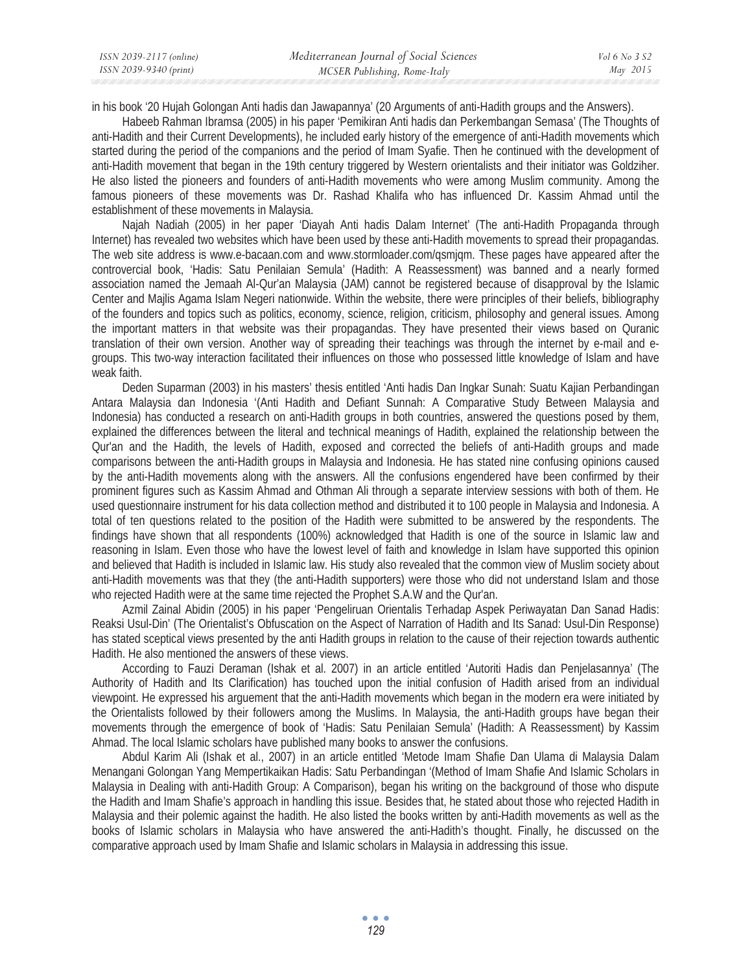| ISSN 2039-2117 (online) | Mediterranean Journal of Social Sciences | Vol 6 No 3 S2 |
|-------------------------|------------------------------------------|---------------|
| ISSN 2039-9340 (print)  | MCSER Publishing, Rome-Italy             | May 2015      |

in his book '20 Hujah Golongan Anti hadis dan Jawapannya' (20 Arguments of anti-Hadith groups and the Answers).

Habeeb Rahman Ibramsa (2005) in his paper 'Pemikiran Anti hadis dan Perkembangan Semasa' (The Thoughts of anti-Hadith and their Current Developments), he included early history of the emergence of anti-Hadith movements which started during the period of the companions and the period of Imam Syafie. Then he continued with the development of anti-Hadith movement that began in the 19th century triggered by Western orientalists and their initiator was Goldziher. He also listed the pioneers and founders of anti-Hadith movements who were among Muslim community. Among the famous pioneers of these movements was Dr. Rashad Khalifa who has influenced Dr. Kassim Ahmad until the establishment of these movements in Malaysia.

Najah Nadiah (2005) in her paper 'Diayah Anti hadis Dalam Internet' (The anti-Hadith Propaganda through Internet) has revealed two websites which have been used by these anti-Hadith movements to spread their propagandas. The web site address is www.e-bacaan.com and www.stormloader.com/qsmjqm. These pages have appeared after the controvercial book, 'Hadis: Satu Penilaian Semula' (Hadith: A Reassessment) was banned and a nearly formed association named the Jemaah Al-Qur'an Malaysia (JAM) cannot be registered because of disapproval by the Islamic Center and Majlis Agama Islam Negeri nationwide. Within the website, there were principles of their beliefs, bibliography of the founders and topics such as politics, economy, science, religion, criticism, philosophy and general issues. Among the important matters in that website was their propagandas. They have presented their views based on Quranic translation of their own version. Another way of spreading their teachings was through the internet by e-mail and egroups. This two-way interaction facilitated their influences on those who possessed little knowledge of Islam and have weak faith.

Deden Suparman (2003) in his masters' thesis entitled 'Anti hadis Dan Ingkar Sunah: Suatu Kajian Perbandingan Antara Malaysia dan Indonesia '(Anti Hadith and Defiant Sunnah: A Comparative Study Between Malaysia and Indonesia) has conducted a research on anti-Hadith groups in both countries, answered the questions posed by them, explained the differences between the literal and technical meanings of Hadith, explained the relationship between the Qur'an and the Hadith, the levels of Hadith, exposed and corrected the beliefs of anti-Hadith groups and made comparisons between the anti-Hadith groups in Malaysia and Indonesia. He has stated nine confusing opinions caused by the anti-Hadith movements along with the answers. All the confusions engendered have been confirmed by their prominent figures such as Kassim Ahmad and Othman Ali through a separate interview sessions with both of them. He used questionnaire instrument for his data collection method and distributed it to 100 people in Malaysia and Indonesia. A total of ten questions related to the position of the Hadith were submitted to be answered by the respondents. The findings have shown that all respondents (100%) acknowledged that Hadith is one of the source in Islamic law and reasoning in Islam. Even those who have the lowest level of faith and knowledge in Islam have supported this opinion and believed that Hadith is included in Islamic law. His study also revealed that the common view of Muslim society about anti-Hadith movements was that they (the anti-Hadith supporters) were those who did not understand Islam and those who rejected Hadith were at the same time rejected the Prophet S.A.W and the Qur'an.

Azmil Zainal Abidin (2005) in his paper 'Pengeliruan Orientalis Terhadap Aspek Periwayatan Dan Sanad Hadis: Reaksi Usul-Din' (The Orientalist's Obfuscation on the Aspect of Narration of Hadith and Its Sanad: Usul-Din Response) has stated sceptical views presented by the anti Hadith groups in relation to the cause of their rejection towards authentic Hadith. He also mentioned the answers of these views.

According to Fauzi Deraman (Ishak et al. 2007) in an article entitled 'Autoriti Hadis dan Penjelasannya' (The Authority of Hadith and Its Clarification) has touched upon the initial confusion of Hadith arised from an individual viewpoint. He expressed his arguement that the anti-Hadith movements which began in the modern era were initiated by the Orientalists followed by their followers among the Muslims. In Malaysia, the anti-Hadith groups have began their movements through the emergence of book of 'Hadis: Satu Penilaian Semula' (Hadith: A Reassessment) by Kassim Ahmad. The local Islamic scholars have published many books to answer the confusions.

Abdul Karim Ali (Ishak et al., 2007) in an article entitled 'Metode Imam Shafie Dan Ulama di Malaysia Dalam Menangani Golongan Yang Mempertikaikan Hadis: Satu Perbandingan '(Method of Imam Shafie And Islamic Scholars in Malaysia in Dealing with anti-Hadith Group: A Comparison), began his writing on the background of those who dispute the Hadith and Imam Shafie's approach in handling this issue. Besides that, he stated about those who rejected Hadith in Malaysia and their polemic against the hadith. He also listed the books written by anti-Hadith movements as well as the books of Islamic scholars in Malaysia who have answered the anti-Hadith's thought. Finally, he discussed on the comparative approach used by Imam Shafie and Islamic scholars in Malaysia in addressing this issue.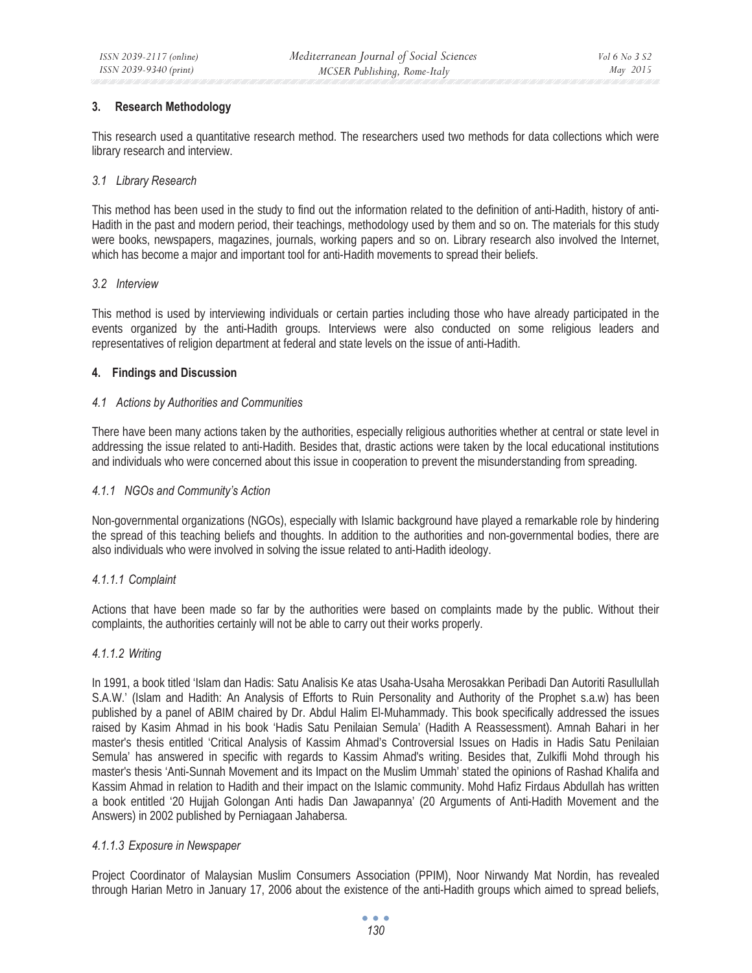### **3. Research Methodology**

This research used a quantitative research method. The researchers used two methods for data collections which were library research and interview.

### *3.1 Library Research*

This method has been used in the study to find out the information related to the definition of anti-Hadith, history of anti-Hadith in the past and modern period, their teachings, methodology used by them and so on. The materials for this study were books, newspapers, magazines, journals, working papers and so on. Library research also involved the Internet, which has become a major and important tool for anti-Hadith movements to spread their beliefs.

#### *3.2 Interview*

This method is used by interviewing individuals or certain parties including those who have already participated in the events organized by the anti-Hadith groups. Interviews were also conducted on some religious leaders and representatives of religion department at federal and state levels on the issue of anti-Hadith.

### **4. Findings and Discussion**

### *4.1 Actions by Authorities and Communities*

There have been many actions taken by the authorities, especially religious authorities whether at central or state level in addressing the issue related to anti-Hadith. Besides that, drastic actions were taken by the local educational institutions and individuals who were concerned about this issue in cooperation to prevent the misunderstanding from spreading.

### *4.1.1 NGOs and Community's Action*

Non-governmental organizations (NGOs), especially with Islamic background have played a remarkable role by hindering the spread of this teaching beliefs and thoughts. In addition to the authorities and non-governmental bodies, there are also individuals who were involved in solving the issue related to anti-Hadith ideology.

### *4.1.1.1 Complaint*

Actions that have been made so far by the authorities were based on complaints made by the public. Without their complaints, the authorities certainly will not be able to carry out their works properly.

### *4.1.1.2 Writing*

In 1991, a book titled 'Islam dan Hadis: Satu Analisis Ke atas Usaha-Usaha Merosakkan Peribadi Dan Autoriti Rasullullah S.A.W.' (Islam and Hadith: An Analysis of Efforts to Ruin Personality and Authority of the Prophet s.a.w) has been published by a panel of ABIM chaired by Dr. Abdul Halim El-Muhammady. This book specifically addressed the issues raised by Kasim Ahmad in his book 'Hadis Satu Penilaian Semula' (Hadith A Reassessment). Amnah Bahari in her master's thesis entitled 'Critical Analysis of Kassim Ahmad's Controversial Issues on Hadis in Hadis Satu Penilaian Semula' has answered in specific with regards to Kassim Ahmad's writing. Besides that, Zulkifli Mohd through his master's thesis 'Anti-Sunnah Movement and its Impact on the Muslim Ummah' stated the opinions of Rashad Khalifa and Kassim Ahmad in relation to Hadith and their impact on the Islamic community. Mohd Hafiz Firdaus Abdullah has written a book entitled '20 Hujjah Golongan Anti hadis Dan Jawapannya' (20 Arguments of Anti-Hadith Movement and the Answers) in 2002 published by Perniagaan Jahabersa.

### *4.1.1.3 Exposure in Newspaper*

Project Coordinator of Malaysian Muslim Consumers Association (PPIM), Noor Nirwandy Mat Nordin, has revealed through Harian Metro in January 17, 2006 about the existence of the anti-Hadith groups which aimed to spread beliefs,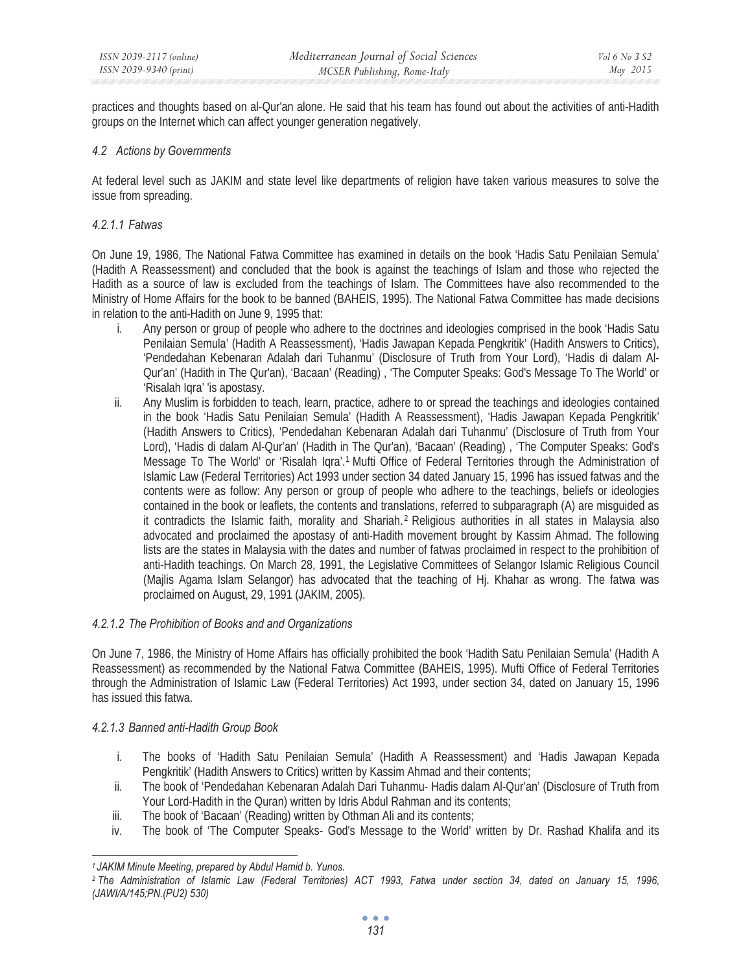practices and thoughts based on al-Qur'an alone. He said that his team has found out about the activities of anti-Hadith groups on the Internet which can affect younger generation negatively.

### *4.2 Actions by Governments*

At federal level such as JAKIM and state level like departments of religion have taken various measures to solve the issue from spreading.

### *4.2.1.1 Fatwas*

On June 19, 1986, The National Fatwa Committee has examined in details on the book 'Hadis Satu Penilaian Semula' (Hadith A Reassessment) and concluded that the book is against the teachings of Islam and those who rejected the Hadith as a source of law is excluded from the teachings of Islam. The Committees have also recommended to the Ministry of Home Affairs for the book to be banned (BAHEIS, 1995). The National Fatwa Committee has made decisions in relation to the anti-Hadith on June 9, 1995 that:

- i. Any person or group of people who adhere to the doctrines and ideologies comprised in the book 'Hadis Satu Penilaian Semula' (Hadith A Reassessment), 'Hadis Jawapan Kepada Pengkritik' (Hadith Answers to Critics), 'Pendedahan Kebenaran Adalah dari Tuhanmu' (Disclosure of Truth from Your Lord), 'Hadis di dalam Al-Qur'an' (Hadith in The Qur'an), 'Bacaan' (Reading) , 'The Computer Speaks: God's Message To The World' or 'Risalah Iqra' 'is apostasy.
- ii. Any Muslim is forbidden to teach, learn, practice, adhere to or spread the teachings and ideologies contained in the book 'Hadis Satu Penilaian Semula' (Hadith A Reassessment), 'Hadis Jawapan Kepada Pengkritik' (Hadith Answers to Critics), 'Pendedahan Kebenaran Adalah dari Tuhanmu' (Disclosure of Truth from Your Lord), 'Hadis di dalam Al-Qur'an' (Hadith in The Qur'an), 'Bacaan' (Reading) , 'The Computer Speaks: God's Message To The World' or 'Risalah Iqra'.1 Mufti Office of Federal Territories through the Administration of Islamic Law (Federal Territories) Act 1993 under section 34 dated January 15, 1996 has issued fatwas and the contents were as follow: Any person or group of people who adhere to the teachings, beliefs or ideologies contained in the book or leaflets, the contents and translations, referred to subparagraph (A) are misguided as it contradicts the Islamic faith, morality and Shariah.2 Religious authorities in all states in Malaysia also advocated and proclaimed the apostasy of anti-Hadith movement brought by Kassim Ahmad. The following lists are the states in Malaysia with the dates and number of fatwas proclaimed in respect to the prohibition of anti-Hadith teachings. On March 28, 1991, the Legislative Committees of Selangor Islamic Religious Council (Majlis Agama Islam Selangor) has advocated that the teaching of Hj. Khahar as wrong. The fatwa was proclaimed on August, 29, 1991 (JAKIM, 2005).

### *4.2.1.2 The Prohibition of Books and and Organizations*

On June 7, 1986, the Ministry of Home Affairs has officially prohibited the book 'Hadith Satu Penilaian Semula' (Hadith A Reassessment) as recommended by the National Fatwa Committee (BAHEIS, 1995). Mufti Office of Federal Territories through the Administration of Islamic Law (Federal Territories) Act 1993, under section 34, dated on January 15, 1996 has issued this fatwa.

### *4.2.1.3 Banned anti-Hadith Group Book*

- i. The books of 'Hadith Satu Penilaian Semula' (Hadith A Reassessment) and 'Hadis Jawapan Kepada Pengkritik' (Hadith Answers to Critics) written by Kassim Ahmad and their contents;
- ii. The book of 'Pendedahan Kebenaran Adalah Dari Tuhanmu- Hadis dalam Al-Qur'an' (Disclosure of Truth from Your Lord-Hadith in the Quran) written by Idris Abdul Rahman and its contents;
- iii. The book of 'Bacaan' (Reading) written by Othman Ali and its contents;
- iv. The book of 'The Computer Speaks- God's Message to the World' written by Dr. Rashad Khalifa and its

*<sup>1</sup> JAKIM Minute Meeting, prepared by Abdul Hamid b. Yunos. 2 The Administration of Islamic Law (Federal Territories) ACT 1993, Fatwa under section 34, dated on January 15, 1996, (JAWI/A/145;PN.(PU2) 530)*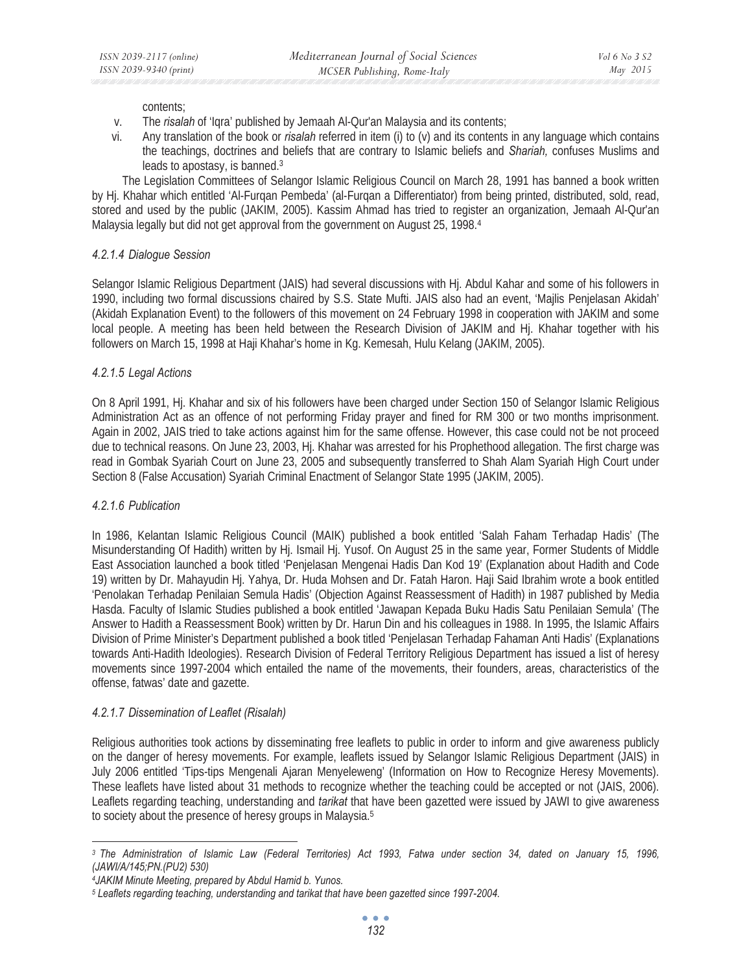contents;

- v. The *risalah* of 'Iqra' published by Jemaah Al-Qur'an Malaysia and its contents;
- vi. Any translation of the book or *risalah* referred in item (i) to (v) and its contents in any language which contains the teachings, doctrines and beliefs that are contrary to Islamic beliefs and *Shariah,* confuses Muslims and leads to apostasy, is banned.3

The Legislation Committees of Selangor Islamic Religious Council on March 28, 1991 has banned a book written by Hj. Khahar which entitled 'Al-Furqan Pembeda' (al-Furqan a Differentiator) from being printed, distributed, sold, read, stored and used by the public (JAKIM, 2005). Kassim Ahmad has tried to register an organization, Jemaah Al-Qur'an Malaysia legally but did not get approval from the government on August 25, 1998.<sup>4</sup>

### *4.2.1.4 Dialogue Session*

Selangor Islamic Religious Department (JAIS) had several discussions with Hj. Abdul Kahar and some of his followers in 1990, including two formal discussions chaired by S.S. State Mufti. JAIS also had an event, 'Majlis Penjelasan Akidah' (Akidah Explanation Event) to the followers of this movement on 24 February 1998 in cooperation with JAKIM and some local people. A meeting has been held between the Research Division of JAKIM and Hj. Khahar together with his followers on March 15, 1998 at Haji Khahar's home in Kg. Kemesah, Hulu Kelang (JAKIM, 2005).

### *4.2.1.5 Legal Actions*

On 8 April 1991, Hj. Khahar and six of his followers have been charged under Section 150 of Selangor Islamic Religious Administration Act as an offence of not performing Friday prayer and fined for RM 300 or two months imprisonment. Again in 2002, JAIS tried to take actions against him for the same offense. However, this case could not be not proceed due to technical reasons. On June 23, 2003, Hj. Khahar was arrested for his Prophethood allegation. The first charge was read in Gombak Syariah Court on June 23, 2005 and subsequently transferred to Shah Alam Syariah High Court under Section 8 (False Accusation) Syariah Criminal Enactment of Selangor State 1995 (JAKIM, 2005).

# *4.2.1.6 Publication*

In 1986, Kelantan Islamic Religious Council (MAIK) published a book entitled 'Salah Faham Terhadap Hadis' (The Misunderstanding Of Hadith) written by Hj. Ismail Hj. Yusof. On August 25 in the same year, Former Students of Middle East Association launched a book titled 'Penjelasan Mengenai Hadis Dan Kod 19' (Explanation about Hadith and Code 19) written by Dr. Mahayudin Hj. Yahya, Dr. Huda Mohsen and Dr. Fatah Haron. Haji Said Ibrahim wrote a book entitled 'Penolakan Terhadap Penilaian Semula Hadis' (Objection Against Reassessment of Hadith) in 1987 published by Media Hasda. Faculty of Islamic Studies published a book entitled 'Jawapan Kepada Buku Hadis Satu Penilaian Semula' (The Answer to Hadith a Reassessment Book) written by Dr. Harun Din and his colleagues in 1988. In 1995, the Islamic Affairs Division of Prime Minister's Department published a book titled 'Penjelasan Terhadap Fahaman Anti Hadis' (Explanations towards Anti-Hadith Ideologies). Research Division of Federal Territory Religious Department has issued a list of heresy movements since 1997-2004 which entailed the name of the movements, their founders, areas, characteristics of the offense, fatwas' date and gazette.

# *4.2.1.7 Dissemination of Leaflet (Risalah)*

Religious authorities took actions by disseminating free leaflets to public in order to inform and give awareness publicly on the danger of heresy movements. For example, leaflets issued by Selangor Islamic Religious Department (JAIS) in July 2006 entitled 'Tips-tips Mengenali Ajaran Menyeleweng' (Information on How to Recognize Heresy Movements). These leaflets have listed about 31 methods to recognize whether the teaching could be accepted or not (JAIS, 2006). Leaflets regarding teaching, understanding and *tarikat* that have been gazetted were issued by JAWI to give awareness to society about the presence of heresy groups in Malaysia.5

*<sup>3</sup> The Administration of Islamic Law (Federal Territories) Act 1993, Fatwa under section 34, dated on January 15, 1996, (JAWI/A/145;PN.(PU2) 530)* 

*<sup>4</sup>JAKIM Minute Meeting, prepared by Abdul Hamid b. Yunos.* 

*<sup>5</sup> Leaflets regarding teaching, understanding and tarikat that have been gazetted since 1997-2004.*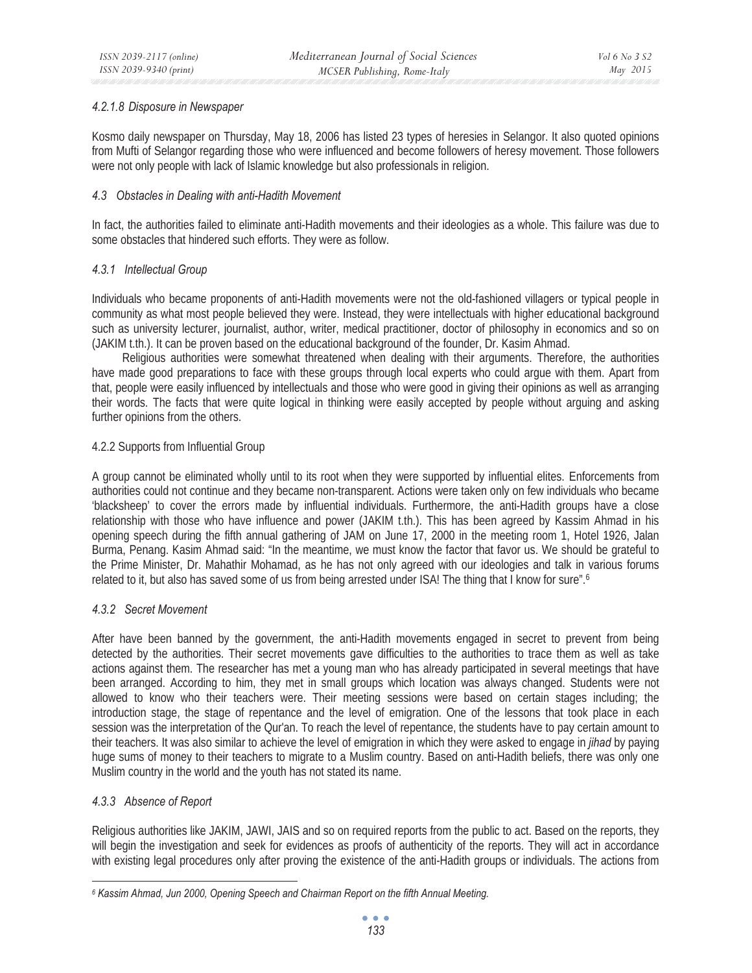#### *4.2.1.8 Disposure in Newspaper*

Kosmo daily newspaper on Thursday, May 18, 2006 has listed 23 types of heresies in Selangor. It also quoted opinions from Mufti of Selangor regarding those who were influenced and become followers of heresy movement. Those followers were not only people with lack of Islamic knowledge but also professionals in religion.

#### *4.3 Obstacles in Dealing with anti-Hadith Movement*

In fact, the authorities failed to eliminate anti-Hadith movements and their ideologies as a whole. This failure was due to some obstacles that hindered such efforts. They were as follow.

#### *4.3.1 Intellectual Group*

Individuals who became proponents of anti-Hadith movements were not the old-fashioned villagers or typical people in community as what most people believed they were. Instead, they were intellectuals with higher educational background such as university lecturer, journalist, author, writer, medical practitioner, doctor of philosophy in economics and so on (JAKIM t.th.). It can be proven based on the educational background of the founder, Dr. Kasim Ahmad.

Religious authorities were somewhat threatened when dealing with their arguments. Therefore, the authorities have made good preparations to face with these groups through local experts who could argue with them. Apart from that, people were easily influenced by intellectuals and those who were good in giving their opinions as well as arranging their words. The facts that were quite logical in thinking were easily accepted by people without arguing and asking further opinions from the others.

#### 4.2.2 Supports from Influential Group

A group cannot be eliminated wholly until to its root when they were supported by influential elites. Enforcements from authorities could not continue and they became non-transparent. Actions were taken only on few individuals who became 'blacksheep' to cover the errors made by influential individuals. Furthermore, the anti-Hadith groups have a close relationship with those who have influence and power (JAKIM t.th.). This has been agreed by Kassim Ahmad in his opening speech during the fifth annual gathering of JAM on June 17, 2000 in the meeting room 1, Hotel 1926, Jalan Burma, Penang. Kasim Ahmad said: "In the meantime, we must know the factor that favor us. We should be grateful to the Prime Minister, Dr. Mahathir Mohamad, as he has not only agreed with our ideologies and talk in various forums related to it, but also has saved some of us from being arrested under ISA! The thing that I know for sure".<sup>6</sup>

### *4.3.2 Secret Movement*

After have been banned by the government, the anti-Hadith movements engaged in secret to prevent from being detected by the authorities. Their secret movements gave difficulties to the authorities to trace them as well as take actions against them. The researcher has met a young man who has already participated in several meetings that have been arranged. According to him, they met in small groups which location was always changed. Students were not allowed to know who their teachers were. Their meeting sessions were based on certain stages including; the introduction stage, the stage of repentance and the level of emigration. One of the lessons that took place in each session was the interpretation of the Qur'an. To reach the level of repentance, the students have to pay certain amount to their teachers. It was also similar to achieve the level of emigration in which they were asked to engage in *jihad* by paying huge sums of money to their teachers to migrate to a Muslim country. Based on anti-Hadith beliefs, there was only one Muslim country in the world and the youth has not stated its name.

### *4.3.3 Absence of Report*

Religious authorities like JAKIM, JAWI, JAIS and so on required reports from the public to act. Based on the reports, they will begin the investigation and seek for evidences as proofs of authenticity of the reports. They will act in accordance with existing legal procedures only after proving the existence of the anti-Hadith groups or individuals. The actions from

*<sup>6</sup> Kassim Ahmad, Jun 2000, Opening Speech and Chairman Report on the fifth Annual Meeting.*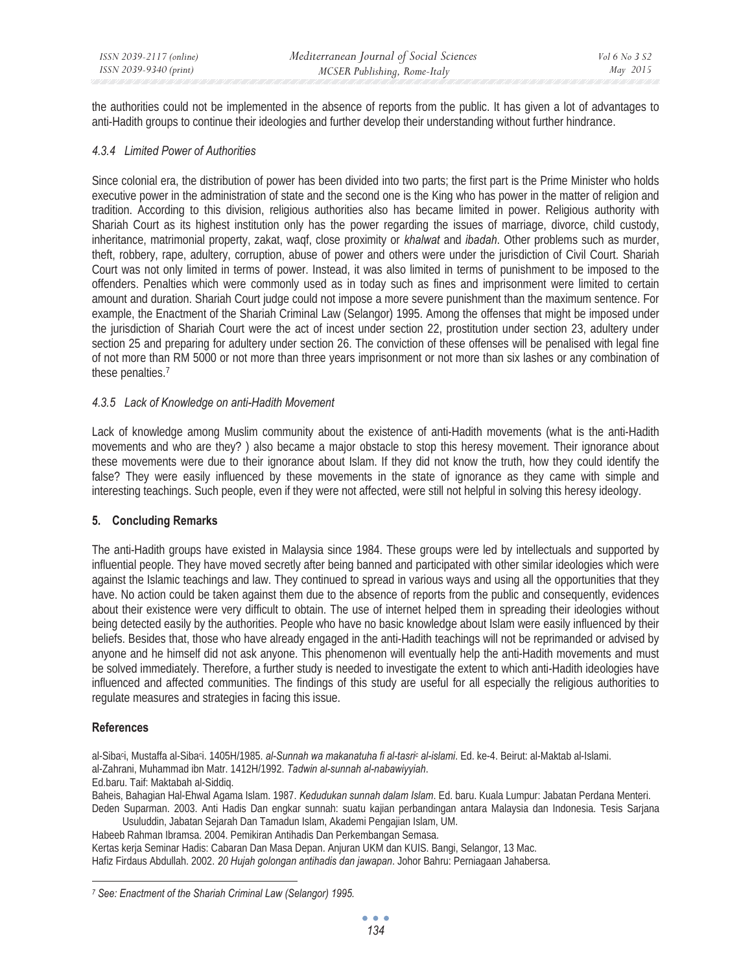the authorities could not be implemented in the absence of reports from the public. It has given a lot of advantages to anti-Hadith groups to continue their ideologies and further develop their understanding without further hindrance.

### *4.3.4 Limited Power of Authorities*

Since colonial era, the distribution of power has been divided into two parts; the first part is the Prime Minister who holds executive power in the administration of state and the second one is the King who has power in the matter of religion and tradition. According to this division, religious authorities also has became limited in power. Religious authority with Shariah Court as its highest institution only has the power regarding the issues of marriage, divorce, child custody, inheritance, matrimonial property, zakat, waqf, close proximity or *khalwat* and *ibadah*. Other problems such as murder, theft, robbery, rape, adultery, corruption, abuse of power and others were under the jurisdiction of Civil Court. Shariah Court was not only limited in terms of power. Instead, it was also limited in terms of punishment to be imposed to the offenders. Penalties which were commonly used as in today such as fines and imprisonment were limited to certain amount and duration. Shariah Court judge could not impose a more severe punishment than the maximum sentence. For example, the Enactment of the Shariah Criminal Law (Selangor) 1995. Among the offenses that might be imposed under the jurisdiction of Shariah Court were the act of incest under section 22, prostitution under section 23, adultery under section 25 and preparing for adultery under section 26. The conviction of these offenses will be penalised with legal fine of not more than RM 5000 or not more than three years imprisonment or not more than six lashes or any combination of these penalties.7

# *4.3.5 Lack of Knowledge on anti-Hadith Movement*

Lack of knowledge among Muslim community about the existence of anti-Hadith movements (what is the anti-Hadith movements and who are they?) also became a major obstacle to stop this heresy movement. Their ignorance about these movements were due to their ignorance about Islam. If they did not know the truth, how they could identify the false? They were easily influenced by these movements in the state of ignorance as they came with simple and interesting teachings. Such people, even if they were not affected, were still not helpful in solving this heresy ideology.

# **5. Concluding Remarks**

The anti-Hadith groups have existed in Malaysia since 1984. These groups were led by intellectuals and supported by influential people. They have moved secretly after being banned and participated with other similar ideologies which were against the Islamic teachings and law. They continued to spread in various ways and using all the opportunities that they have. No action could be taken against them due to the absence of reports from the public and consequently, evidences about their existence were very difficult to obtain. The use of internet helped them in spreading their ideologies without being detected easily by the authorities. People who have no basic knowledge about Islam were easily influenced by their beliefs. Besides that, those who have already engaged in the anti-Hadith teachings will not be reprimanded or advised by anyone and he himself did not ask anyone. This phenomenon will eventually help the anti-Hadith movements and must be solved immediately. Therefore, a further study is needed to investigate the extent to which anti-Hadith ideologies have influenced and affected communities. The findings of this study are useful for all especially the religious authorities to regulate measures and strategies in facing this issue.

### **References**

al-Sibaci, Mustaffa al-Sibaci. 1405H/1985. *al-Sunnah wa makanatuha fi al-tasric al-islami*. Ed. ke-4. Beirut: al-Maktab al-Islami. al-Zahrani, Muhammad ibn Matr. 1412H/1992. *Tadwin al-sunnah al-nabawiyyiah*.

Ed.baru. Taif: Maktabah al-Siddiq.

Baheis, Bahagian Hal-Ehwal Agama Islam. 1987. *Kedudukan sunnah dalam Islam*. Ed. baru. Kuala Lumpur: Jabatan Perdana Menteri. Deden Suparman. 2003. Anti Hadis Dan engkar sunnah: suatu kajian perbandingan antara Malaysia dan Indonesia. Tesis Sarjana

Usuluddin, Jabatan Sejarah Dan Tamadun Islam, Akademi Pengajian Islam, UM. Habeeb Rahman Ibramsa. 2004. Pemikiran Antihadis Dan Perkembangan Semasa.

Kertas kerja Seminar Hadis: Cabaran Dan Masa Depan. Anjuran UKM dan KUIS. Bangi, Selangor, 13 Mac.

Hafiz Firdaus Abdullah. 2002. *20 Hujah golongan antihadis dan jawapan*. Johor Bahru: Perniagaan Jahabersa.

 *7 See: Enactment of the Shariah Criminal Law (Selangor) 1995.*